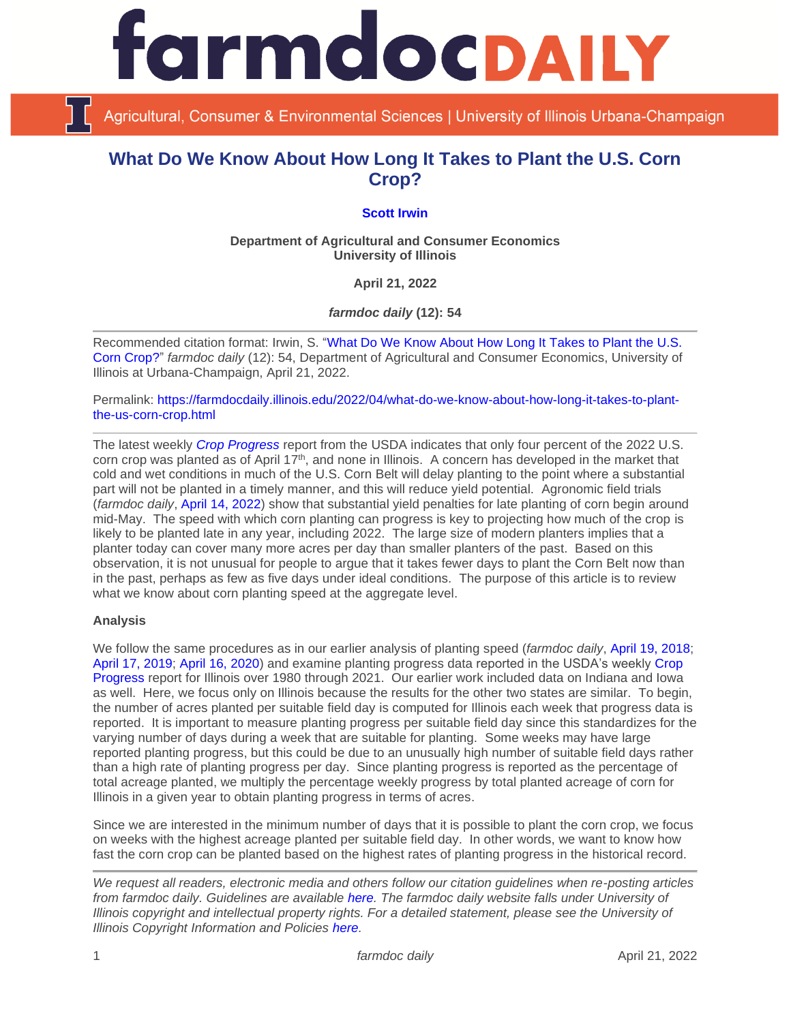

Agricultural, Consumer & Environmental Sciences | University of Illinois Urbana-Champaign

# **What Do We Know About How Long It Takes to Plant the U.S. Corn Crop?**

## **[Scott Irwin](https://scotthirwin.com/)**

**Department of Agricultural and Consumer Economics University of Illinois**

**April 21, 2022**

*farmdoc daily* **(12): 54**

Recommended citation format: Irwin, S. ["What Do We Know About How Long It Takes to Plant the U.S.](https://farmdocdaily.illinois.edu/2022/04/what-do-we-know-about-how-long-it-takes-to-plant-the-us-corn-crop.html)  [Corn Crop?"](https://farmdocdaily.illinois.edu/2022/04/what-do-we-know-about-how-long-it-takes-to-plant-the-us-corn-crop.html) *farmdoc daily* (12): 54, Department of Agricultural and Consumer Economics, University of Illinois at Urbana-Champaign, April 21, 2022.

Permalink: [https://farmdocdaily.illinois.edu/2022/04/what-do-we-know-about-how-long-it-takes-to-plant](https://farmdocdaily.illinois.edu/2022/04/what-do-we-know-about-how-long-it-takes-to-plant-the-us-corn-crop.html)[the-us-corn-crop.html](https://farmdocdaily.illinois.edu/2022/04/what-do-we-know-about-how-long-it-takes-to-plant-the-us-corn-crop.html)

The latest weekly *[Crop Progress](https://downloads.usda.library.cornell.edu/usda-esmis/files/8336h188j/0v8394612/70796c56c/prog1722.pdf)* report from the USDA indicates that only four percent of the 2022 U.S. corn crop was planted as of April 17<sup>th</sup>, and none in Illinois. A concern has developed in the market that cold and wet conditions in much of the U.S. Corn Belt will delay planting to the point where a substantial part will not be planted in a timely manner, and this will reduce yield potential. Agronomic field trials (*farmdoc daily*, [April 14, 2022\)](https://farmdocdaily.illinois.edu/2022/04/what-do-we-know-about-planting-dates-and-corn-and-soybean-yield-from-agronomic-field-trials.html) show that substantial yield penalties for late planting of corn begin around mid-May. The speed with which corn planting can progress is key to projecting how much of the crop is likely to be planted late in any year, including 2022. The large size of modern planters implies that a planter today can cover many more acres per day than smaller planters of the past. Based on this observation, it is not unusual for people to argue that it takes fewer days to plant the Corn Belt now than in the past, perhaps as few as five days under ideal conditions. The purpose of this article is to review what we know about corn planting speed at the aggregate level.

#### **Analysis**

We follow the same procedures as in our earlier analysis of planting speed (*farmdoc daily*, [April 19, 2018;](https://farmdocdaily.illinois.edu/2018/04/how-many-days-does-it-take-to-plant-us-corn-crop.html) [April 17, 2019;](https://farmdocdaily.illinois.edu/2019/04/here-we-go-again-how-many-days-does-it-take-to-plant-the-u-s-corn-crop.html) [April 16, 2020\)](https://farmdocdaily.illinois.edu/2020/04/an-update-on-how-many-days-it-takes-to-plant-the-us-corn-crop.html) and examine planting progress data reported in the USDA's weekly [Crop](http://usda.mannlib.cornell.edu/MannUsda/viewDocumentInfo.do?documentID=1048)  [Progress](http://usda.mannlib.cornell.edu/MannUsda/viewDocumentInfo.do?documentID=1048) report for Illinois over 1980 through 2021. Our earlier work included data on Indiana and Iowa as well. Here, we focus only on Illinois because the results for the other two states are similar. To begin, the number of acres planted per suitable field day is computed for Illinois each week that progress data is reported. It is important to measure planting progress per suitable field day since this standardizes for the varying number of days during a week that are suitable for planting. Some weeks may have large reported planting progress, but this could be due to an unusually high number of suitable field days rather than a high rate of planting progress per day. Since planting progress is reported as the percentage of total acreage planted, we multiply the percentage weekly progress by total planted acreage of corn for Illinois in a given year to obtain planting progress in terms of acres.

Since we are interested in the minimum number of days that it is possible to plant the corn crop, we focus on weeks with the highest acreage planted per suitable field day. In other words, we want to know how fast the corn crop can be planted based on the highest rates of planting progress in the historical record.

*We request all readers, electronic media and others follow our citation guidelines when re-posting articles from farmdoc daily. Guidelines are available [here.](http://farmdocdaily.illinois.edu/citationguide.html) The farmdoc daily website falls under University of Illinois copyright and intellectual property rights. For a detailed statement, please see the University of Illinois Copyright Information and Policies [here.](http://www.cio.illinois.edu/policies/copyright/)*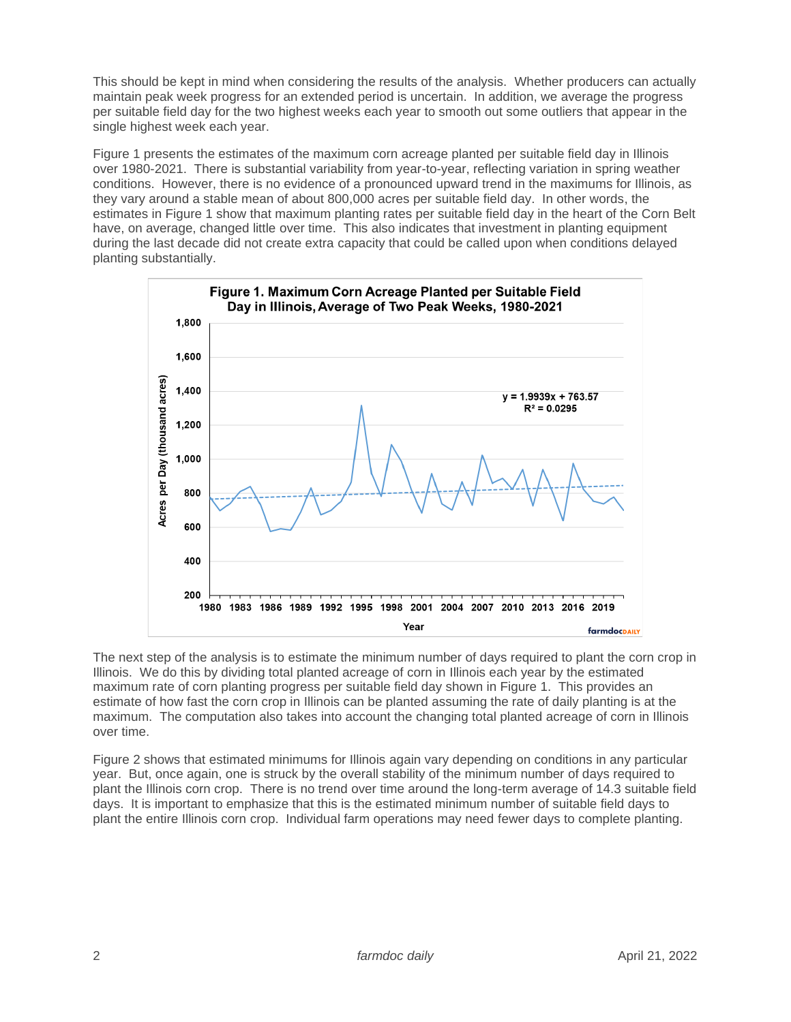This should be kept in mind when considering the results of the analysis. Whether producers can actually maintain peak week progress for an extended period is uncertain. In addition, we average the progress per suitable field day for the two highest weeks each year to smooth out some outliers that appear in the single highest week each year.

Figure 1 presents the estimates of the maximum corn acreage planted per suitable field day in Illinois over 1980-2021. There is substantial variability from year-to-year, reflecting variation in spring weather conditions. However, there is no evidence of a pronounced upward trend in the maximums for Illinois, as they vary around a stable mean of about 800,000 acres per suitable field day. In other words, the estimates in Figure 1 show that maximum planting rates per suitable field day in the heart of the Corn Belt have, on average, changed little over time. This also indicates that investment in planting equipment during the last decade did not create extra capacity that could be called upon when conditions delayed planting substantially.



The next step of the analysis is to estimate the minimum number of days required to plant the corn crop in Illinois. We do this by dividing total planted acreage of corn in Illinois each year by the estimated maximum rate of corn planting progress per suitable field day shown in Figure 1. This provides an estimate of how fast the corn crop in Illinois can be planted assuming the rate of daily planting is at the maximum. The computation also takes into account the changing total planted acreage of corn in Illinois over time.

Figure 2 shows that estimated minimums for Illinois again vary depending on conditions in any particular year. But, once again, one is struck by the overall stability of the minimum number of days required to plant the Illinois corn crop. There is no trend over time around the long-term average of 14.3 suitable field days. It is important to emphasize that this is the estimated minimum number of suitable field days to plant the entire Illinois corn crop. Individual farm operations may need fewer days to complete planting.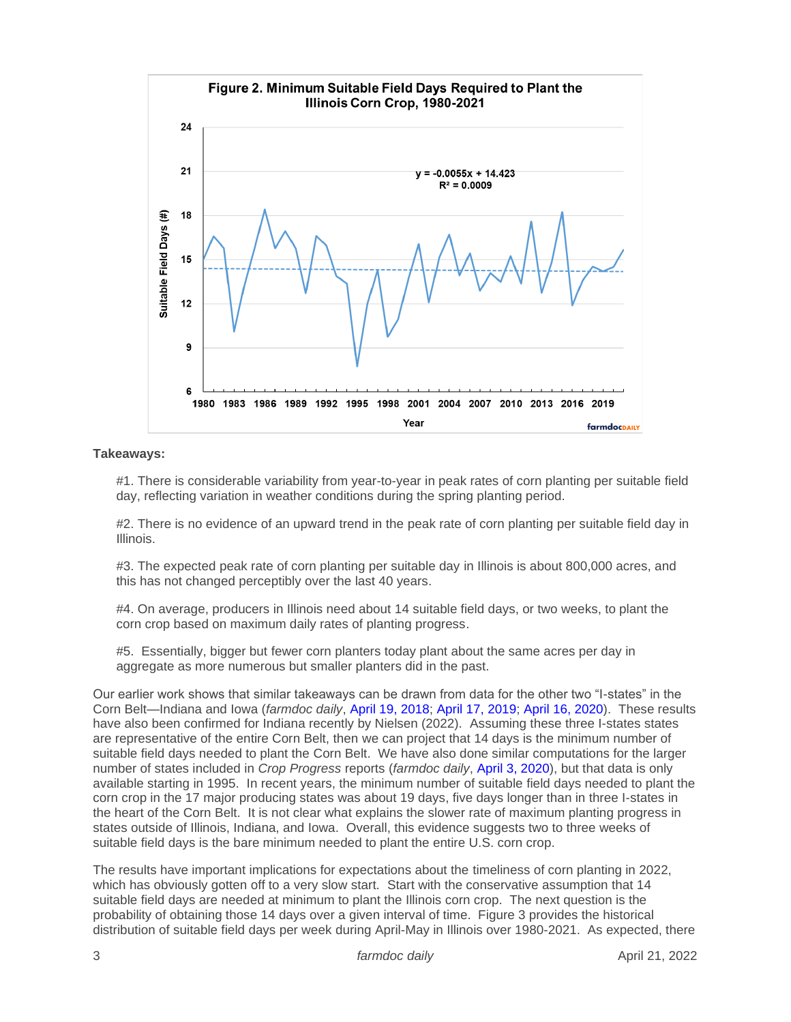

#### **Takeaways:**

#1. There is considerable variability from year-to-year in peak rates of corn planting per suitable field day, reflecting variation in weather conditions during the spring planting period.

#2. There is no evidence of an upward trend in the peak rate of corn planting per suitable field day in Illinois.

#3. The expected peak rate of corn planting per suitable day in Illinois is about 800,000 acres, and this has not changed perceptibly over the last 40 years.

#4. On average, producers in Illinois need about 14 suitable field days, or two weeks, to plant the corn crop based on maximum daily rates of planting progress.

#5. Essentially, bigger but fewer corn planters today plant about the same acres per day in aggregate as more numerous but smaller planters did in the past.

Our earlier work shows that similar takeaways can be drawn from data for the other two "I-states" in the Corn Belt—Indiana and Iowa (*farmdoc daily*, [April 19, 2018;](https://farmdocdaily.illinois.edu/2018/04/how-many-days-does-it-take-to-plant-us-corn-crop.html) [April 17, 2019;](https://farmdocdaily.illinois.edu/2019/04/here-we-go-again-how-many-days-does-it-take-to-plant-the-u-s-corn-crop.html) [April 16, 2020\)](https://farmdocdaily.illinois.edu/2020/04/an-update-on-how-many-days-it-takes-to-plant-the-us-corn-crop.html). These results have also been confirmed for Indiana recently by Nielsen (2022). Assuming these three I-states states are representative of the entire Corn Belt, then we can project that 14 days is the minimum number of suitable field days needed to plant the Corn Belt. We have also done similar computations for the larger number of states included in *Crop Progress* reports (*farmdoc daily*, [April 3, 2020\)](https://farmdocdaily.illinois.edu/2020/04/further-evidence-on-the-time-it-takes-to-plant-the-us-corn-crop.html), but that data is only available starting in 1995. In recent years, the minimum number of suitable field days needed to plant the corn crop in the 17 major producing states was about 19 days, five days longer than in three I-states in the heart of the Corn Belt. It is not clear what explains the slower rate of maximum planting progress in states outside of Illinois, Indiana, and Iowa. Overall, this evidence suggests two to three weeks of suitable field days is the bare minimum needed to plant the entire U.S. corn crop.

The results have important implications for expectations about the timeliness of corn planting in 2022, which has obviously gotten off to a very slow start. Start with the conservative assumption that 14 suitable field days are needed at minimum to plant the Illinois corn crop. The next question is the probability of obtaining those 14 days over a given interval of time. Figure 3 provides the historical distribution of suitable field days per week during April-May in Illinois over 1980-2021. As expected, there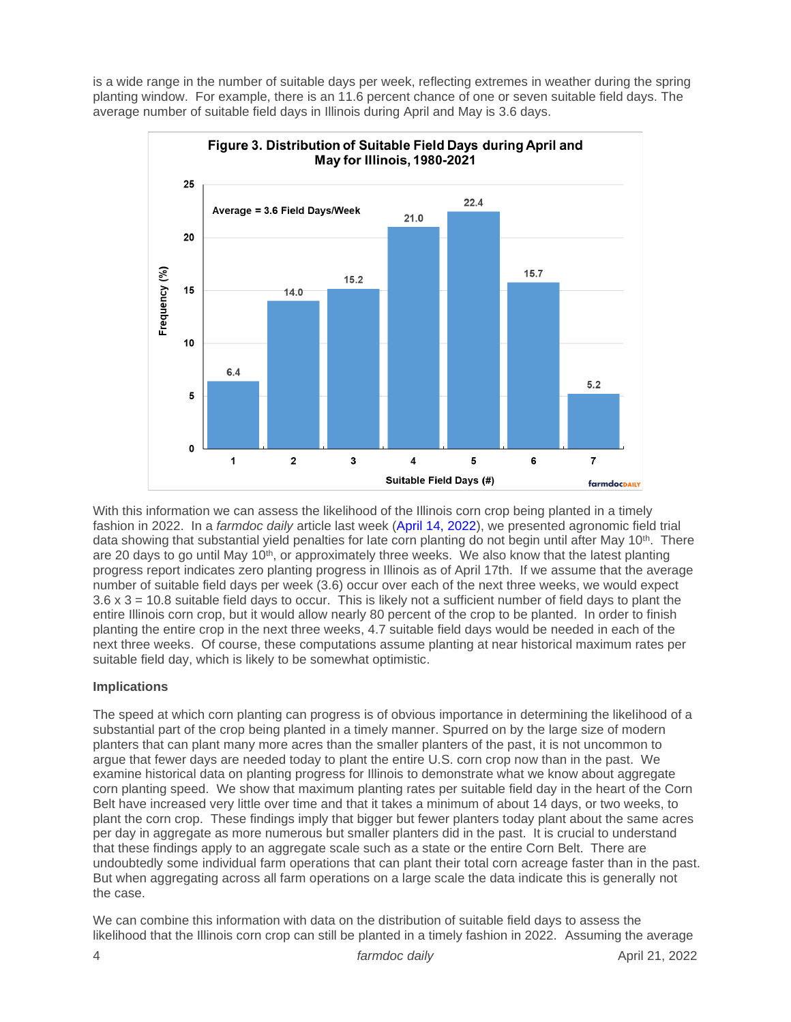is a wide range in the number of suitable days per week, reflecting extremes in weather during the spring planting window. For example, there is an 11.6 percent chance of one or seven suitable field days. The average number of suitable field days in Illinois during April and May is 3.6 days.



With this information we can assess the likelihood of the Illinois corn crop being planted in a timely fashion in 2022. In a *farmdoc daily* article last week [\(April 14, 2022\)](https://farmdocdaily.illinois.edu/2022/04/what-do-we-know-about-planting-dates-and-corn-and-soybean-yield-from-agronomic-field-trials.html), we presented agronomic field trial data showing that substantial yield penalties for late corn planting do not begin until after May 10<sup>th</sup>. There are 20 days to go until May  $10<sup>th</sup>$ , or approximately three weeks. We also know that the latest planting progress report indicates zero planting progress in Illinois as of April 17th. If we assume that the average number of suitable field days per week (3.6) occur over each of the next three weeks, we would expect 3.6 x 3 = 10.8 suitable field days to occur. This is likely not a sufficient number of field days to plant the entire Illinois corn crop, but it would allow nearly 80 percent of the crop to be planted. In order to finish planting the entire crop in the next three weeks, 4.7 suitable field days would be needed in each of the next three weeks. Of course, these computations assume planting at near historical maximum rates per suitable field day, which is likely to be somewhat optimistic.

### **Implications**

The speed at which corn planting can progress is of obvious importance in determining the likelihood of a substantial part of the crop being planted in a timely manner. Spurred on by the large size of modern planters that can plant many more acres than the smaller planters of the past, it is not uncommon to argue that fewer days are needed today to plant the entire U.S. corn crop now than in the past. We examine historical data on planting progress for Illinois to demonstrate what we know about aggregate corn planting speed. We show that maximum planting rates per suitable field day in the heart of the Corn Belt have increased very little over time and that it takes a minimum of about 14 days, or two weeks, to plant the corn crop. These findings imply that bigger but fewer planters today plant about the same acres per day in aggregate as more numerous but smaller planters did in the past. It is crucial to understand that these findings apply to an aggregate scale such as a state or the entire Corn Belt. There are undoubtedly some individual farm operations that can plant their total corn acreage faster than in the past. But when aggregating across all farm operations on a large scale the data indicate this is generally not the case.

We can combine this information with data on the distribution of suitable field days to assess the likelihood that the Illinois corn crop can still be planted in a timely fashion in 2022. Assuming the average